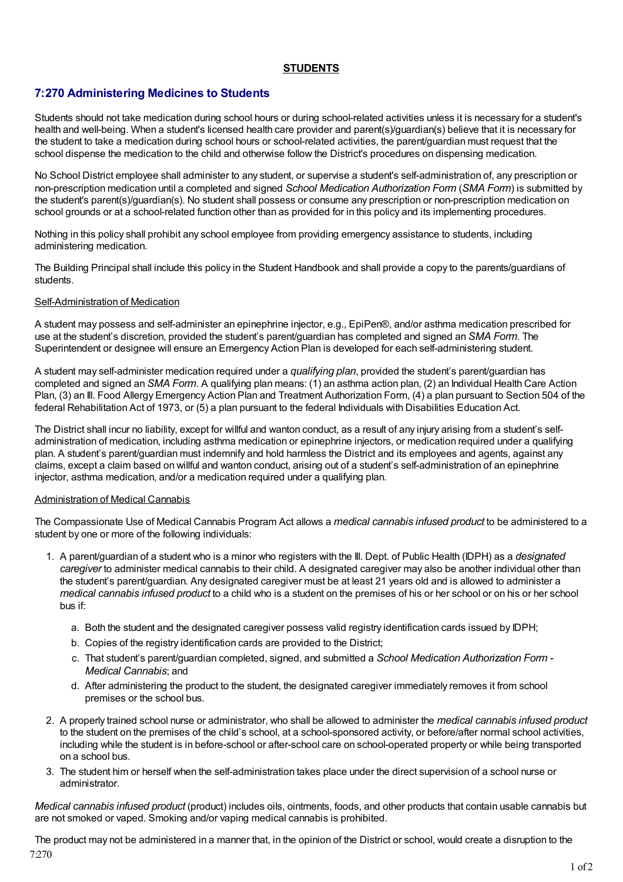## **STUDENTS**

# **7:270 Administering Medicines to Students**

Students should not take medication during school hours or during school-related activities unless it is necessary for a student's health and well-being. When a student's licensed health care provider and parent(s)/guardian(s) believe that it is necessary for the student to take a medication during school hours or school-related activities, the parent/guardian must request that the school dispense the medication to the child and otherwise follow the District's procedures on dispensing medication.

No School District employee shall administer to any student, or supervise a student's self-administration of, any prescription or non-prescription medication until a completed and signed *School Medication Authorization Form* (*SMA Form*) is submitted by the student's parent(s)/guardian(s). No student shall possess or consume any prescription or non-prescription medication on school grounds or at a school-related function other than as provided for in this policy and its implementing procedures.

Nothing in this policy shall prohibit any school employee from providing emergency assistance to students, including administering medication.

The Building Principal shall include this policy in the Student Handbook and shall provide a copy to the parents/guardians of students.

#### Self-Administration of Medication

A student may possess and self-administer an epinephrine injector, e.g., EpiPen®, and/or asthma medication prescribed for use at the student's discretion, provided the student's parent/guardian has completed and signed an *SMA Form*. The Superintendent or designee will ensure an Emergency Action Plan is developed for each self-administering student.

A student may self-administer medication required under a *qualifying plan*, provided the student's parent/guardian has completed and signed an *SMA Form*. A qualifying plan means: (1) an asthma action plan, (2) an Individual Health Care Action Plan, (3) an Ill. Food Allergy Emergency Action Plan and Treatment Authorization Form, (4) a plan pursuant to Section 504 of the federal Rehabilitation Act of 1973, or (5) a plan pursuant to the federal Individuals with Disabilities Education Act.

The District shall incur no liability, except for willful and wanton conduct, as a result of any injury arising from a student's selfadministration of medication, including asthma medication or epinephrine injectors, or medication required under a qualifying plan. A student's parent/guardian must indemnify and hold harmless the District and its employees and agents, against any claims, except a claim based on willful and wanton conduct, arising out of a student's self-administration of an epinephrine injector, asthma medication, and/or a medication required under a qualifying plan.

#### Administration of Medical Cannabis

The Compassionate Use of Medical Cannabis Program Act allows a *medical cannabis infused product* to be administered to a student by one or more of the following individuals:

- 1. A parent/guardian of a student who is a minor who registers with the Ill. Dept. of Public Health (IDPH) as a *designated caregiver* to administer medical cannabis to their child. A designated caregiver may also be another individual other than the student's parent/guardian. Any designated caregiver must be at least 21 years old and is allowed to administer a *medical cannabis infused product* to a child who is a student on the premises of his or her school or on his or her school bus if:
	- a. Both the student and the designated caregiver possess valid registry identification cards issued by IDPH;
	- b. Copies of the registry identification cards are provided to the District;
	- c. That student's parent/guardian completed, signed, and submitted a *School Medication Authorization Form - Medical Cannabis*; and
	- d. After administering the product to the student, the designated caregiver immediately removes it from school premises or the school bus.
- 2. A properly trained school nurse or administrator, who shall be allowed to administer the *medical cannabis infused product* to the student on the premises of the child's school, at a school-sponsored activity, or before/after normal school activities, including while the student is in before-school or after-school care on school-operated property or while being transported on a school bus.
- 3. The student him or herself when the self-administration takes place under the direct supervision of a school nurse or administrator.

*Medical cannabis infused product* (product) includes oils, ointments, foods, and other products that contain usable cannabis but are not smoked or vaped. Smoking and/or vaping medical cannabis is prohibited.

The product may not be administered in a manner that, in the opinion of the District or school, would create a disruption to the 7:270